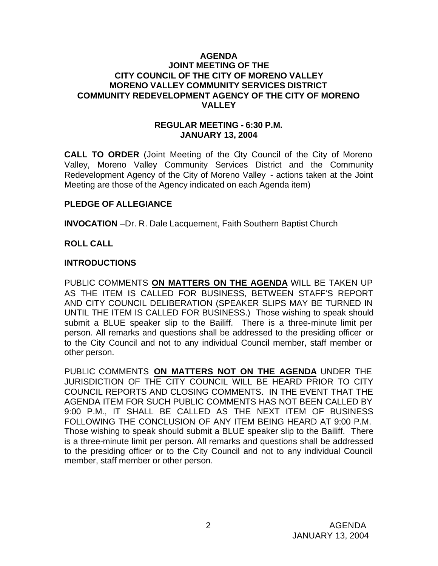### **AGENDA JOINT MEETING OF THE CITY COUNCIL OF THE CITY OF MORENO VALLEY MORENO VALLEY COMMUNITY SERVICES DISTRICT COMMUNITY REDEVELOPMENT AGENCY OF THE CITY OF MORENO VALLEY**

### **REGULAR MEETING - 6:30 P.M. JANUARY 13, 2004**

**CALL TO ORDER** (Joint Meeting of the City Council of the City of Moreno Valley, Moreno Valley Community Services District and the Community Redevelopment Agency of the City of Moreno Valley - actions taken at the Joint Meeting are those of the Agency indicated on each Agenda item)

### **PLEDGE OF ALLEGIANCE**

**INVOCATION** –Dr. R. Dale Lacquement, Faith Southern Baptist Church

## **ROLL CALL**

## **INTRODUCTIONS**

PUBLIC COMMENTS **ON MATTERS ON THE AGENDA** WILL BE TAKEN UP AS THE ITEM IS CALLED FOR BUSINESS, BETWEEN STAFF'S REPORT AND CITY COUNCIL DELIBERATION (SPEAKER SLIPS MAY BE TURNED IN UNTIL THE ITEM IS CALLED FOR BUSINESS.) Those wishing to speak should submit a BLUE speaker slip to the Bailiff. There is a three-minute limit per person. All remarks and questions shall be addressed to the presiding officer or to the City Council and not to any individual Council member, staff member or other person.

PUBLIC COMMENTS **ON MATTERS NOT ON THE AGENDA** UNDER THE JURISDICTION OF THE CITY COUNCIL WILL BE HEARD PRIOR TO CITY COUNCIL REPORTS AND CLOSING COMMENTS. IN THE EVENT THAT THE AGENDA ITEM FOR SUCH PUBLIC COMMENTS HAS NOT BEEN CALLED BY 9:00 P.M., IT SHALL BE CALLED AS THE NEXT ITEM OF BUSINESS FOLLOWING THE CONCLUSION OF ANY ITEM BEING HEARD AT 9:00 P.M. Those wishing to speak should submit a BLUE speaker slip to the Bailiff. There is a three-minute limit per person. All remarks and questions shall be addressed to the presiding officer or to the City Council and not to any individual Council member, staff member or other person.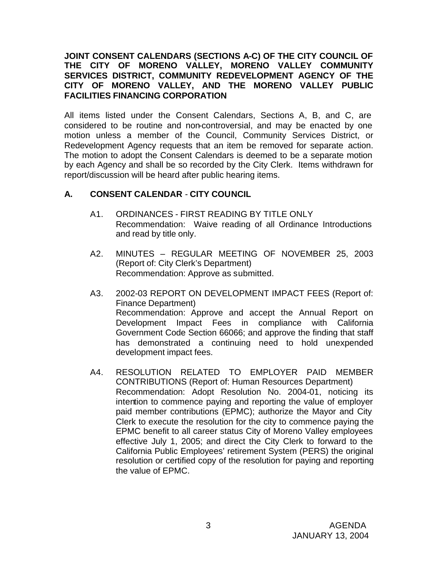## **JOINT CONSENT CALENDARS (SECTIONS A-C) OF THE CITY COUNCIL OF THE CITY OF MORENO VALLEY, MORENO VALLEY COMMUNITY SERVICES DISTRICT, COMMUNITY REDEVELOPMENT AGENCY OF THE CITY OF MORENO VALLEY, AND THE MORENO VALLEY PUBLIC FACILITIES FINANCING CORPORATION**

All items listed under the Consent Calendars, Sections A, B, and C, are considered to be routine and non-controversial, and may be enacted by one motion unless a member of the Council, Community Services District, or Redevelopment Agency requests that an item be removed for separate action. The motion to adopt the Consent Calendars is deemed to be a separate motion by each Agency and shall be so recorded by the City Clerk. Items withdrawn for report/discussion will be heard after public hearing items.

# **A. CONSENT CALENDAR** - **CITY COUNCIL**

- A1. ORDINANCES FIRST READING BY TITLE ONLY Recommendation: Waive reading of all Ordinance Introductions and read by title only.
- A2. MINUTES REGULAR MEETING OF NOVEMBER 25, 2003 (Report of: City Clerk's Department) Recommendation: Approve as submitted.
- A3. 2002-03 REPORT ON DEVELOPMENT IMPACT FEES (Report of: Finance Department) Recommendation: Approve and accept the Annual Report on Development Impact Fees in compliance with California Government Code Section 66066; and approve the finding that staff has demonstrated a continuing need to hold unexpended development impact fees.
- A4. RESOLUTION RELATED TO EMPLOYER PAID MEMBER CONTRIBUTIONS (Report of: Human Resources Department) Recommendation: Adopt Resolution No. 2004-01, noticing its intention to commence paying and reporting the value of employer paid member contributions (EPMC); authorize the Mayor and City Clerk to execute the resolution for the city to commence paying the EPMC benefit to all career status City of Moreno Valley employees effective July 1, 2005; and direct the City Clerk to forward to the California Public Employees' retirement System (PERS) the original resolution or certified copy of the resolution for paying and reporting the value of EPMC.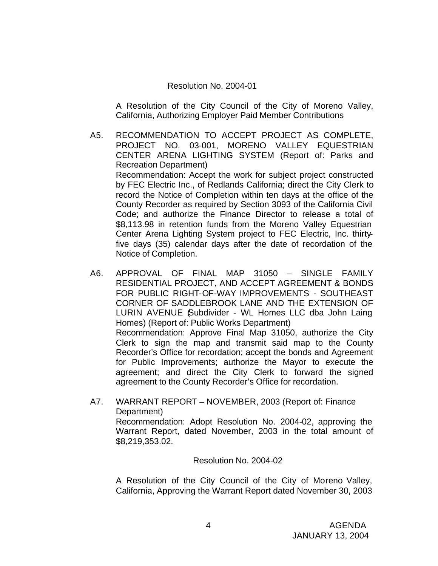#### Resolution No. 2004-01

A Resolution of the City Council of the City of Moreno Valley, California, Authorizing Employer Paid Member Contributions

- A5. RECOMMENDATION TO ACCEPT PROJECT AS COMPLETE, PROJECT NO. 03-001, MORENO VALLEY EQUESTRIAN CENTER ARENA LIGHTING SYSTEM (Report of: Parks and Recreation Department) Recommendation: Accept the work for subject project constructed by FEC Electric Inc., of Redlands California; direct the City Clerk to record the Notice of Completion within ten days at the office of the County Recorder as required by Section 3093 of the California Civil Code; and authorize the Finance Director to release a total of \$8,113.98 in retention funds from the Moreno Valley Equestrian Center Arena Lighting System project to FEC Electric, Inc. thirtyfive days (35) calendar days after the date of recordation of the Notice of Completion.
- A6. APPROVAL OF FINAL MAP 31050 SINGLE FAMILY RESIDENTIAL PROJECT, AND ACCEPT AGREEMENT & BONDS FOR PUBLIC RIGHT-OF-WAY IMPROVEMENTS - SOUTHEAST CORNER OF SADDLEBROOK LANE AND THE EXTENSION OF LURIN AVENUE Subdivider - WL Homes LLC dba John Laing Homes) (Report of: Public Works Department) Recommendation: Approve Final Map 31050, authorize the City Clerk to sign the map and transmit said map to the County Recorder's Office for recordation; accept the bonds and Agreement for Public Improvements; authorize the Mayor to execute the agreement; and direct the City Clerk to forward the signed agreement to the County Recorder's Office for recordation.
- A7. WARRANT REPORT NOVEMBER, 2003 (Report of: Finance Department) Recommendation: Adopt Resolution No. 2004-02, approving the Warrant Report, dated November, 2003 in the total amount of \$8,219,353.02.

#### Resolution No. 2004-02

A Resolution of the City Council of the City of Moreno Valley, California, Approving the Warrant Report dated November 30, 2003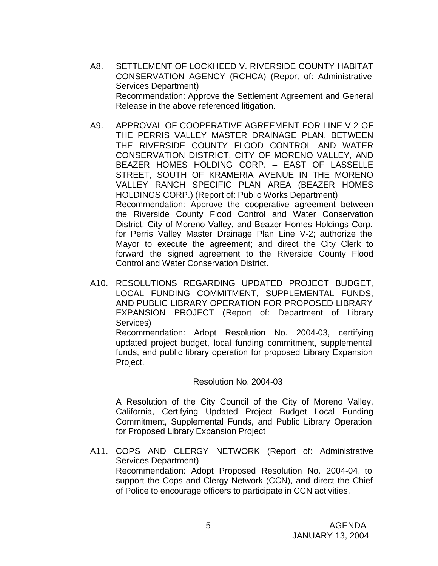- A8. SETTLEMENT OF LOCKHEED V. RIVERSIDE COUNTY HABITAT CONSERVATION AGENCY (RCHCA) (Report of: Administrative Services Department) Recommendation: Approve the Settlement Agreement and General Release in the above referenced litigation.
- A9. APPROVAL OF COOPERATIVE AGREEMENT FOR LINE V-2 OF THE PERRIS VALLEY MASTER DRAINAGE PLAN, BETWEEN THE RIVERSIDE COUNTY FLOOD CONTROL AND WATER CONSERVATION DISTRICT, CITY OF MORENO VALLEY, AND BEAZER HOMES HOLDING CORP. – EAST OF LASSELLE STREET, SOUTH OF KRAMERIA AVENUE IN THE MORENO VALLEY RANCH SPECIFIC PLAN AREA (BEAZER HOMES HOLDINGS CORP.) (Report of: Public Works Department) Recommendation: Approve the cooperative agreement between the Riverside County Flood Control and Water Conservation District, City of Moreno Valley, and Beazer Homes Holdings Corp. for Perris Valley Master Drainage Plan Line V-2; authorize the Mayor to execute the agreement; and direct the City Clerk to forward the signed agreement to the Riverside County Flood Control and Water Conservation District.
- A10. RESOLUTIONS REGARDING UPDATED PROJECT BUDGET, LOCAL FUNDING COMMITMENT, SUPPLEMENTAL FUNDS, AND PUBLIC LIBRARY OPERATION FOR PROPOSED LIBRARY EXPANSION PROJECT (Report of: Department of Library Services) Recommendation: Adopt Resolution No. 2004-03, certifying updated project budget, local funding commitment, supplemental funds, and public library operation for proposed Library Expansion Project.

#### Resolution No. 2004-03

A Resolution of the City Council of the City of Moreno Valley, California, Certifying Updated Project Budget Local Funding Commitment, Supplemental Funds, and Public Library Operation for Proposed Library Expansion Project

A11. COPS AND CLERGY NETWORK (Report of: Administrative Services Department) Recommendation: Adopt Proposed Resolution No. 2004-04, to support the Cops and Clergy Network (CCN), and direct the Chief of Police to encourage officers to participate in CCN activities.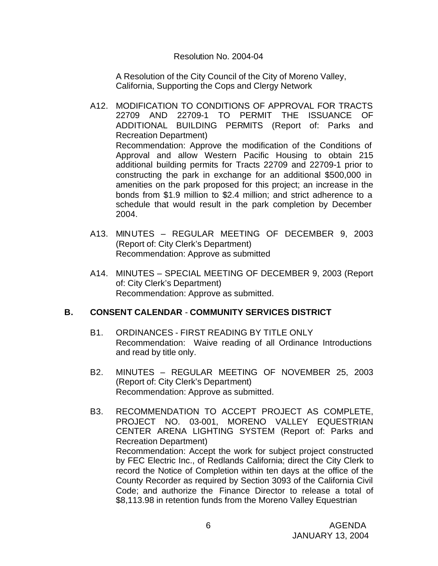### Resolution No. 2004-04

A Resolution of the City Council of the City of Moreno Valley, California, Supporting the Cops and Clergy Network

- A12. MODIFICATION TO CONDITIONS OF APPROVAL FOR TRACTS 22709 AND 22709-1 TO PERMIT THE ISSUANCE OF ADDITIONAL BUILDING PERMITS (Report of: Parks and Recreation Department) Recommendation: Approve the modification of the Conditions of Approval and allow Western Pacific Housing to obtain 215 additional building permits for Tracts 22709 and 22709-1 prior to constructing the park in exchange for an additional \$500,000 in amenities on the park proposed for this project; an increase in the bonds from \$1.9 million to \$2.4 million; and strict adherence to a schedule that would result in the park completion by December 2004.
- A13. MINUTES REGULAR MEETING OF DECEMBER 9, 2003 (Report of: City Clerk's Department) Recommendation: Approve as submitted
- A14. MINUTES SPECIAL MEETING OF DECEMBER 9, 2003 (Report of: City Clerk's Department) Recommendation: Approve as submitted.

### **B. CONSENT CALENDAR** - **COMMUNITY SERVICES DISTRICT**

- B1. ORDINANCES FIRST READING BY TITLE ONLY Recommendation: Waive reading of all Ordinance Introductions and read by title only.
- B2. MINUTES REGULAR MEETING OF NOVEMBER 25, 2003 (Report of: City Clerk's Department) Recommendation: Approve as submitted.
- B3. RECOMMENDATION TO ACCEPT PROJECT AS COMPLETE, PROJECT NO. 03-001, MORENO VALLEY EQUESTRIAN CENTER ARENA LIGHTING SYSTEM (Report of: Parks and Recreation Department) Recommendation: Accept the work for subject project constructed by FEC Electric Inc., of Redlands California; direct the City Clerk to record the Notice of Completion within ten days at the office of the County Recorder as required by Section 3093 of the California Civil Code; and authorize the Finance Director to release a total of \$8,113.98 in retention funds from the Moreno Valley Equestrian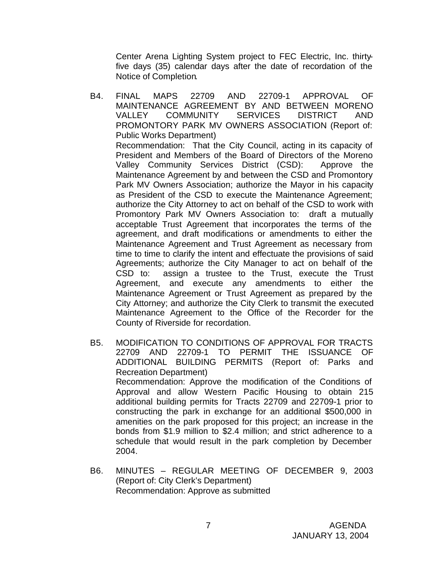Center Arena Lighting System project to FEC Electric, Inc. thirtyfive days (35) calendar days after the date of recordation of the Notice of Completion.

- B4. FINAL MAPS 22709 AND 22709-1 APPROVAL OF MAINTENANCE AGREEMENT BY AND BETWEEN MORENO VALLEY COMMUNITY SERVICES DISTRICT AND PROMONTORY PARK MV OWNERS ASSOCIATION (Report of: Public Works Department) Recommendation: That the City Council, acting in its capacity of President and Members of the Board of Directors of the Moreno Valley Community Services District (CSD): Approve the Maintenance Agreement by and between the CSD and Promontory Park MV Owners Association; authorize the Mayor in his capacity as President of the CSD to execute the Maintenance Agreement; authorize the City Attorney to act on behalf of the CSD to work with Promontory Park MV Owners Association to: draft a mutually acceptable Trust Agreement that incorporates the terms of the agreement, and draft modifications or amendments to either the Maintenance Agreement and Trust Agreement as necessary from time to time to clarify the intent and effectuate the provisions of said Agreements; authorize the City Manager to act on behalf of the CSD to: assign a trustee to the Trust, execute the Trust Agreement, and execute any amendments to either the Maintenance Agreement or Trust Agreement as prepared by the City Attorney; and authorize the City Clerk to transmit the executed Maintenance Agreement to the Office of the Recorder for the County of Riverside for recordation.
- B5. MODIFICATION TO CONDITIONS OF APPROVAL FOR TRACTS 22709 AND 22709-1 TO PERMIT THE ISSUANCE OF ADDITIONAL BUILDING PERMITS (Report of: Parks and Recreation Department) Recommendation: Approve the modification of the Conditions of Approval and allow Western Pacific Housing to obtain 215 additional building permits for Tracts 22709 and 22709-1 prior to constructing the park in exchange for an additional \$500,000 in amenities on the park proposed for this project; an increase in the bonds from \$1.9 million to \$2.4 million; and strict adherence to a schedule that would result in the park completion by December 2004.
- B6. MINUTES REGULAR MEETING OF DECEMBER 9, 2003 (Report of: City Clerk's Department) Recommendation: Approve as submitted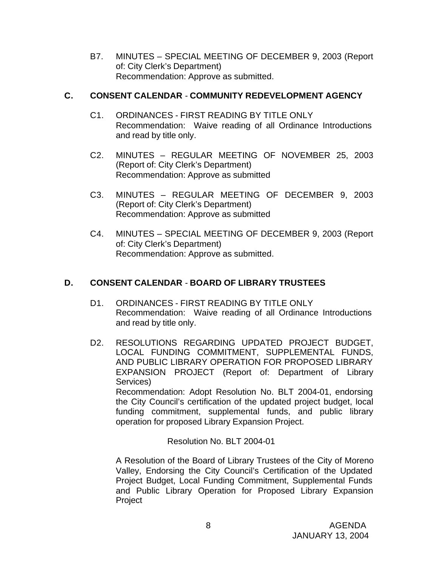B7. MINUTES – SPECIAL MEETING OF DECEMBER 9, 2003 (Report of: City Clerk's Department) Recommendation: Approve as submitted.

# **C. CONSENT CALENDAR** - **COMMUNITY REDEVELOPMENT AGENCY**

- C1. ORDINANCES FIRST READING BY TITLE ONLY Recommendation: Waive reading of all Ordinance Introductions and read by title only.
- C2. MINUTES REGULAR MEETING OF NOVEMBER 25, 2003 (Report of: City Clerk's Department) Recommendation: Approve as submitted
- C3. MINUTES REGULAR MEETING OF DECEMBER 9, 2003 (Report of: City Clerk's Department) Recommendation: Approve as submitted
- C4. MINUTES SPECIAL MEETING OF DECEMBER 9, 2003 (Report of: City Clerk's Department) Recommendation: Approve as submitted.

# **D. CONSENT CALENDAR** - **BOARD OF LIBRARY TRUSTEES**

- D1. ORDINANCES FIRST READING BY TITLE ONLY Recommendation: Waive reading of all Ordinance Introductions and read by title only.
- D2. RESOLUTIONS REGARDING UPDATED PROJECT BUDGET, LOCAL FUNDING COMMITMENT, SUPPLEMENTAL FUNDS, AND PUBLIC LIBRARY OPERATION FOR PROPOSED LIBRARY EXPANSION PROJECT (Report of: Department of Library Services) Recommendation: Adopt Resolution No. BLT 2004-01, endorsing the City Council's certification of the updated project budget, local funding commitment, supplemental funds, and public library

Resolution No. BLT 2004-01

operation for proposed Library Expansion Project.

A Resolution of the Board of Library Trustees of the City of Moreno Valley, Endorsing the City Council's Certification of the Updated Project Budget, Local Funding Commitment, Supplemental Funds and Public Library Operation for Proposed Library Expansion Project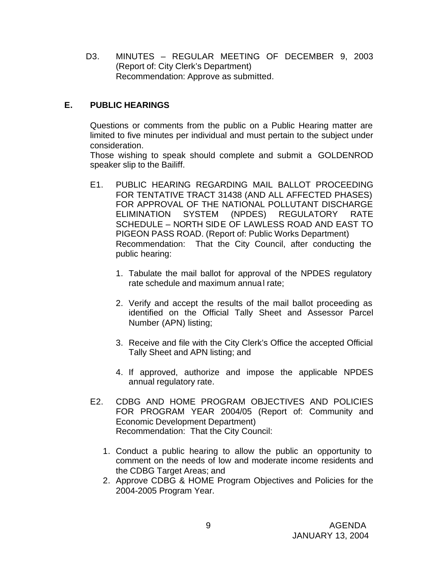D3. MINUTES – REGULAR MEETING OF DECEMBER 9, 2003 (Report of: City Clerk's Department) Recommendation: Approve as submitted.

# **E. PUBLIC HEARINGS**

Questions or comments from the public on a Public Hearing matter are limited to five minutes per individual and must pertain to the subject under consideration.

Those wishing to speak should complete and submit a GOLDENROD speaker slip to the Bailiff.

- E1. PUBLIC HEARING REGARDING MAIL BALLOT PROCEEDING FOR TENTATIVE TRACT 31438 (AND ALL AFFECTED PHASES) FOR APPROVAL OF THE NATIONAL POLLUTANT DISCHARGE ELIMINATION SYSTEM (NPDES) REGULATORY RATE SCHEDULE – NORTH SIDE OF LAWLESS ROAD AND EAST TO PIGEON PASS ROAD. (Report of: Public Works Department) Recommendation: That the City Council, after conducting the public hearing:
	- 1. Tabulate the mail ballot for approval of the NPDES regulatory rate schedule and maximum annual rate;
	- 2. Verify and accept the results of the mail ballot proceeding as identified on the Official Tally Sheet and Assessor Parcel Number (APN) listing;
	- 3. Receive and file with the City Clerk's Office the accepted Official Tally Sheet and APN listing; and
	- 4. If approved, authorize and impose the applicable NPDES annual regulatory rate.
- E2. CDBG AND HOME PROGRAM OBJECTIVES AND POLICIES FOR PROGRAM YEAR 2004/05 (Report of: Community and Economic Development Department) Recommendation: That the City Council:
	- 1. Conduct a public hearing to allow the public an opportunity to comment on the needs of low and moderate income residents and the CDBG Target Areas; and
	- 2. Approve CDBG & HOME Program Objectives and Policies for the 2004-2005 Program Year.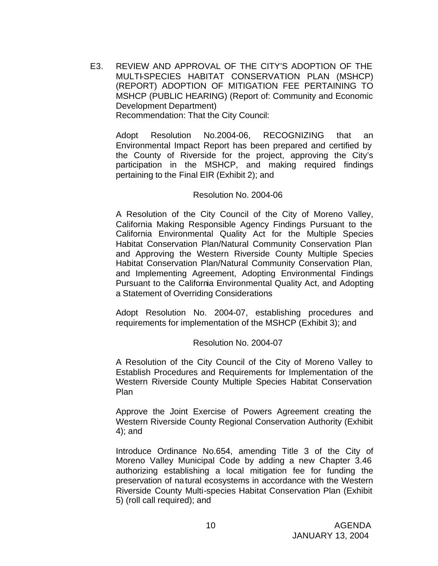E3. REVIEW AND APPROVAL OF THE CITY'S ADOPTION OF THE MULTI-SPECIES HABITAT CONSERVATION PLAN (MSHCP) (REPORT) ADOPTION OF MITIGATION FEE PERTAINING TO MSHCP (PUBLIC HEARING) (Report of: Community and Economic Development Department) Recommendation: That the City Council:

Adopt Resolution No.2004-06, RECOGNIZING that an Environmental Impact Report has been prepared and certified by the County of Riverside for the project, approving the City's participation in the MSHCP, and making required findings pertaining to the Final EIR (Exhibit 2); and

#### Resolution No. 2004-06

A Resolution of the City Council of the City of Moreno Valley, California Making Responsible Agency Findings Pursuant to the California Environmental Quality Act for the Multiple Species Habitat Conservation Plan/Natural Community Conservation Plan and Approving the Western Riverside County Multiple Species Habitat Conservation Plan/Natural Community Conservation Plan, and Implementing Agreement, Adopting Environmental Findings Pursuant to the California Environmental Quality Act, and Adopting a Statement of Overriding Considerations

Adopt Resolution No. 2004-07, establishing procedures and requirements for implementation of the MSHCP (Exhibit 3); and

#### Resolution No. 2004-07

A Resolution of the City Council of the City of Moreno Valley to Establish Procedures and Requirements for Implementation of the Western Riverside County Multiple Species Habitat Conservation Plan

Approve the Joint Exercise of Powers Agreement creating the Western Riverside County Regional Conservation Authority (Exhibit 4); and

Introduce Ordinance No.654, amending Title 3 of the City of Moreno Valley Municipal Code by adding a new Chapter 3.46 authorizing establishing a local mitigation fee for funding the preservation of natural ecosystems in accordance with the Western Riverside County Multi-species Habitat Conservation Plan (Exhibit 5) (roll call required); and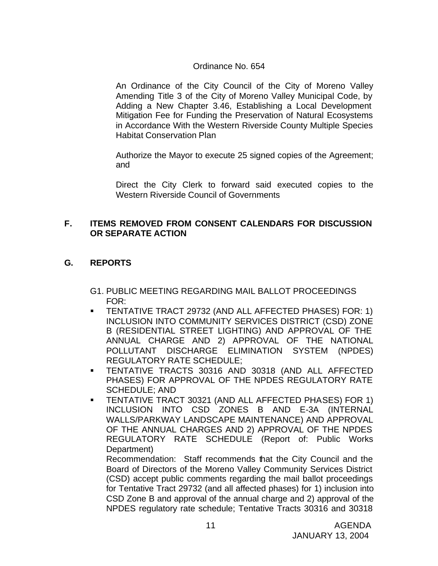# Ordinance No. 654

An Ordinance of the City Council of the City of Moreno Valley Amending Title 3 of the City of Moreno Valley Municipal Code, by Adding a New Chapter 3.46, Establishing a Local Development Mitigation Fee for Funding the Preservation of Natural Ecosystems in Accordance With the Western Riverside County Multiple Species Habitat Conservation Plan

Authorize the Mayor to execute 25 signed copies of the Agreement; and

Direct the City Clerk to forward said executed copies to the Western Riverside Council of Governments

## **F. ITEMS REMOVED FROM CONSENT CALENDARS FOR DISCUSSION OR SEPARATE ACTION**

# **G. REPORTS**

- G1. PUBLIC MEETING REGARDING MAIL BALLOT PROCEEDINGS FOR:
- ß TENTATIVE TRACT 29732 (AND ALL AFFECTED PHASES) FOR: 1) INCLUSION INTO COMMUNITY SERVICES DISTRICT (CSD) ZONE B (RESIDENTIAL STREET LIGHTING) AND APPROVAL OF THE ANNUAL CHARGE AND 2) APPROVAL OF THE NATIONAL POLLUTANT DISCHARGE ELIMINATION SYSTEM (NPDES) REGULATORY RATE SCHEDULE;
- ß TENTATIVE TRACTS 30316 AND 30318 (AND ALL AFFECTED PHASES) FOR APPROVAL OF THE NPDES REGULATORY RATE SCHEDULE; AND
- **TENTATIVE TRACT 30321 (AND ALL AFFECTED PHASES) FOR 1)** INCLUSION INTO CSD ZONES B AND E-3A (INTERNAL WALLS/PARKWAY LANDSCAPE MAINTENANCE) AND APPROVAL OF THE ANNUAL CHARGES AND 2) APPROVAL OF THE NPDES REGULATORY RATE SCHEDULE (Report of: Public Works Department)

Recommendation: Staff recommends that the City Council and the Board of Directors of the Moreno Valley Community Services District (CSD) accept public comments regarding the mail ballot proceedings for Tentative Tract 29732 (and all affected phases) for 1) inclusion into CSD Zone B and approval of the annual charge and 2) approval of the NPDES regulatory rate schedule; Tentative Tracts 30316 and 30318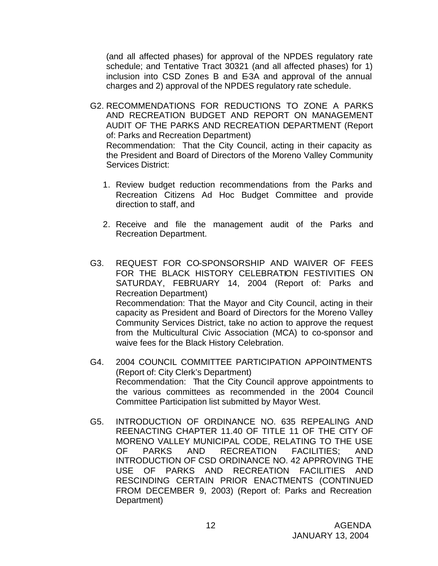(and all affected phases) for approval of the NPDES regulatory rate schedule; and Tentative Tract 30321 (and all affected phases) for 1) inclusion into CSD Zones B and E-3A and approval of the annual charges and 2) approval of the NPDES regulatory rate schedule.

- G2. RECOMMENDATIONS FOR REDUCTIONS TO ZONE A PARKS AND RECREATION BUDGET AND REPORT ON MANAGEMENT AUDIT OF THE PARKS AND RECREATION DEPARTMENT (Report of: Parks and Recreation Department) Recommendation: That the City Council, acting in their capacity as the President and Board of Directors of the Moreno Valley Community Services District:
	- 1. Review budget reduction recommendations from the Parks and Recreation Citizens Ad Hoc Budget Committee and provide direction to staff, and
	- 2. Receive and file the management audit of the Parks and Recreation Department.
- G3. REQUEST FOR CO-SPONSORSHIP AND WAIVER OF FEES FOR THE BLACK HISTORY CELEBRATION FESTIVITIES ON SATURDAY, FEBRUARY 14, 2004 (Report of: Parks and Recreation Department) Recommendation: That the Mayor and City Council, acting in their capacity as President and Board of Directors for the Moreno Valley Community Services District, take no action to approve the request from the Multicultural Civic Association (MCA) to co-sponsor and waive fees for the Black History Celebration.
- G4. 2004 COUNCIL COMMITTEE PARTICIPATION APPOINTMENTS (Report of: City Clerk's Department) Recommendation: That the City Council approve appointments to the various committees as recommended in the 2004 Council Committee Participation list submitted by Mayor West.
- G5. INTRODUCTION OF ORDINANCE NO. 635 REPEALING AND REENACTING CHAPTER 11.40 OF TITLE 11 OF THE CITY OF MORENO VALLEY MUNICIPAL CODE, RELATING TO THE USE OF PARKS AND RECREATION FACILITIES; AND INTRODUCTION OF CSD ORDINANCE NO. 42 APPROVING THE USE OF PARKS AND RECREATION FACILITIES AND RESCINDING CERTAIN PRIOR ENACTMENTS (CONTINUED FROM DECEMBER 9, 2003) (Report of: Parks and Recreation Department)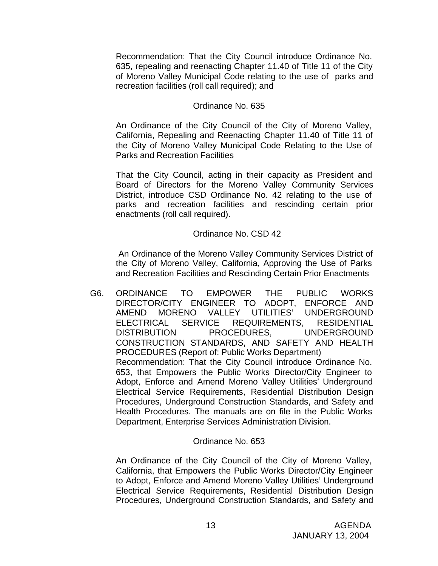Recommendation: That the City Council introduce Ordinance No. 635, repealing and reenacting Chapter 11.40 of Title 11 of the City of Moreno Valley Municipal Code relating to the use of parks and recreation facilities (roll call required); and

### Ordinance No. 635

An Ordinance of the City Council of the City of Moreno Valley, California, Repealing and Reenacting Chapter 11.40 of Title 11 of the City of Moreno Valley Municipal Code Relating to the Use of Parks and Recreation Facilities

That the City Council, acting in their capacity as President and Board of Directors for the Moreno Valley Community Services District, introduce CSD Ordinance No. 42 relating to the use of parks and recreation facilities and rescinding certain prior enactments (roll call required).

### Ordinance No. CSD 42

 An Ordinance of the Moreno Valley Community Services District of the City of Moreno Valley, California, Approving the Use of Parks and Recreation Facilities and Rescinding Certain Prior Enactments

G6. ORDINANCE TO EMPOWER THE PUBLIC WORKS DIRECTOR/CITY ENGINEER TO ADOPT, ENFORCE AND AMEND MORENO VALLEY UTILITIES' UNDERGROUND ELECTRICAL SERVICE REQUIREMENTS, RESIDENTIAL DISTRIBUTION PROCEDURES, UNDERGROUND CONSTRUCTION STANDARDS, AND SAFETY AND HEALTH PROCEDURES (Report of: Public Works Department) Recommendation: That the City Council introduce Ordinance No. 653, that Empowers the Public Works Director/City Engineer to Adopt, Enforce and Amend Moreno Valley Utilities' Underground Electrical Service Requirements, Residential Distribution Design Procedures, Underground Construction Standards, and Safety and Health Procedures. The manuals are on file in the Public Works Department, Enterprise Services Administration Division.

### Ordinance No. 653

An Ordinance of the City Council of the City of Moreno Valley, California, that Empowers the Public Works Director/City Engineer to Adopt, Enforce and Amend Moreno Valley Utilities' Underground Electrical Service Requirements, Residential Distribution Design Procedures, Underground Construction Standards, and Safety and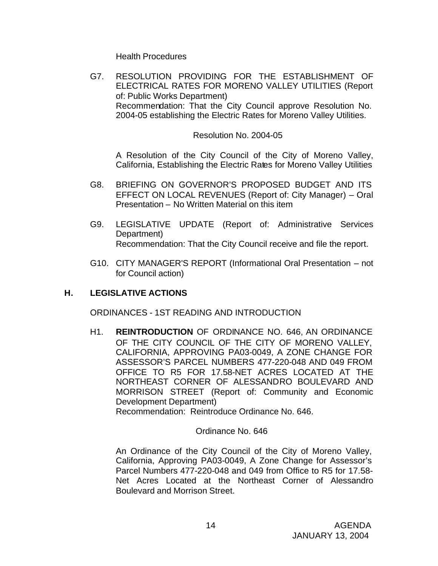Health Procedures

G7. RESOLUTION PROVIDING FOR THE ESTABLISHMENT OF ELECTRICAL RATES FOR MORENO VALLEY UTILITIES (Report of: Public Works Department) Recommendation: That the City Council approve Resolution No. 2004-05 establishing the Electric Rates for Moreno Valley Utilities.

### Resolution No. 2004-05

A Resolution of the City Council of the City of Moreno Valley, California, Establishing the Electric Rates for Moreno Valley Utilities

- G8. BRIEFING ON GOVERNOR'S PROPOSED BUDGET AND ITS EFFECT ON LOCAL REVENUES (Report of: City Manager) – Oral Presentation – No Written Material on this item
- G9. LEGISLATIVE UPDATE (Report of: Administrative Services Department) Recommendation: That the City Council receive and file the report.
- G10. CITY MANAGER'S REPORT (Informational Oral Presentation not for Council action)

# **H. LEGISLATIVE ACTIONS**

ORDINANCES - 1ST READING AND INTRODUCTION

H1. **REINTRODUCTION** OF ORDINANCE NO. 646, AN ORDINANCE OF THE CITY COUNCIL OF THE CITY OF MORENO VALLEY, CALIFORNIA, APPROVING PA03-0049, A ZONE CHANGE FOR ASSESSOR'S PARCEL NUMBERS 477-220-048 AND 049 FROM OFFICE TO R5 FOR 17.58-NET ACRES LOCATED AT THE NORTHEAST CORNER OF ALESSANDRO BOULEVARD AND MORRISON STREET (Report of: Community and Economic Development Department)

Recommendation: Reintroduce Ordinance No. 646.

### Ordinance No. 646

An Ordinance of the City Council of the City of Moreno Valley, California, Approving PA03-0049, A Zone Change for Assessor's Parcel Numbers 477-220-048 and 049 from Office to R5 for 17.58- Net Acres Located at the Northeast Corner of Alessandro Boulevard and Morrison Street.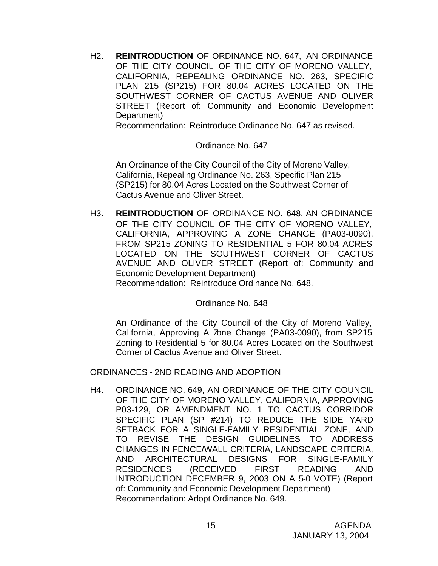H2. **REINTRODUCTION** OF ORDINANCE NO. 647, AN ORDINANCE OF THE CITY COUNCIL OF THE CITY OF MORENO VALLEY, CALIFORNIA, REPEALING ORDINANCE NO. 263, SPECIFIC PLAN 215 (SP215) FOR 80.04 ACRES LOCATED ON THE SOUTHWEST CORNER OF CACTUS AVENUE AND OLIVER STREET (Report of: Community and Economic Development Department)

Recommendation: Reintroduce Ordinance No. 647 as revised.

### Ordinance No. 647

An Ordinance of the City Council of the City of Moreno Valley, California, Repealing Ordinance No. 263, Specific Plan 215 (SP215) for 80.04 Acres Located on the Southwest Corner of Cactus Avenue and Oliver Street.

H3. **REINTRODUCTION** OF ORDINANCE NO. 648, AN ORDINANCE OF THE CITY COUNCIL OF THE CITY OF MORENO VALLEY, CALIFORNIA, APPROVING A ZONE CHANGE (PA03-0090), FROM SP215 ZONING TO RESIDENTIAL 5 FOR 80.04 ACRES LOCATED ON THE SOUTHWEST CORNER OF CACTUS AVENUE AND OLIVER STREET (Report of: Community and Economic Development Department) Recommendation: Reintroduce Ordinance No. 648.

#### Ordinance No. 648

An Ordinance of the City Council of the City of Moreno Valley, California, Approving A Zone Change (PA03-0090), from SP215 Zoning to Residential 5 for 80.04 Acres Located on the Southwest Corner of Cactus Avenue and Oliver Street.

ORDINANCES - 2ND READING AND ADOPTION

H4. ORDINANCE NO. 649, AN ORDINANCE OF THE CITY COUNCIL OF THE CITY OF MORENO VALLEY, CALIFORNIA, APPROVING P03-129, OR AMENDMENT NO. 1 TO CACTUS CORRIDOR SPECIFIC PLAN (SP #214) TO REDUCE THE SIDE YARD SETBACK FOR A SINGLE-FAMILY RESIDENTIAL ZONE, AND TO REVISE THE DESIGN GUIDELINES TO ADDRESS CHANGES IN FENCE/WALL CRITERIA, LANDSCAPE CRITERIA, AND ARCHITECTURAL DESIGNS FOR SINGLE-FAMILY RESIDENCES (RECEIVED FIRST READING AND INTRODUCTION DECEMBER 9, 2003 ON A 5-0 VOTE) (Report of: Community and Economic Development Department) Recommendation: Adopt Ordinance No. 649.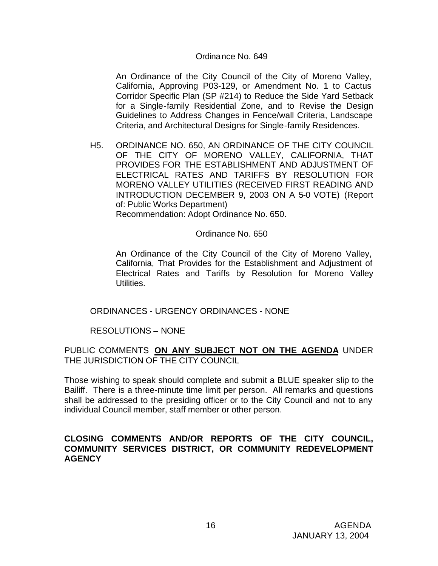### Ordinance No. 649

An Ordinance of the City Council of the City of Moreno Valley, California, Approving P03-129, or Amendment No. 1 to Cactus Corridor Specific Plan (SP #214) to Reduce the Side Yard Setback for a Single-family Residential Zone, and to Revise the Design Guidelines to Address Changes in Fence/wall Criteria, Landscape Criteria, and Architectural Designs for Single-family Residences.

H5. ORDINANCE NO. 650, AN ORDINANCE OF THE CITY COUNCIL OF THE CITY OF MORENO VALLEY, CALIFORNIA, THAT PROVIDES FOR THE ESTABLISHMENT AND ADJUSTMENT OF ELECTRICAL RATES AND TARIFFS BY RESOLUTION FOR MORENO VALLEY UTILITIES (RECEIVED FIRST READING AND INTRODUCTION DECEMBER 9, 2003 ON A 5-0 VOTE) (Report of: Public Works Department) Recommendation: Adopt Ordinance No. 650.

Ordinance No. 650

An Ordinance of the City Council of the City of Moreno Valley, California, That Provides for the Establishment and Adjustment of Electrical Rates and Tariffs by Resolution for Moreno Valley Utilities.

### ORDINANCES - URGENCY ORDINANCES - NONE

### RESOLUTIONS – NONE

### PUBLIC COMMENTS **ON ANY SUBJECT NOT ON THE AGENDA** UNDER THE JURISDICTION OF THE CITY COUNCIL

Those wishing to speak should complete and submit a BLUE speaker slip to the Bailiff. There is a three-minute time limit per person. All remarks and questions shall be addressed to the presiding officer or to the City Council and not to any individual Council member, staff member or other person.

### **CLOSING COMMENTS AND/OR REPORTS OF THE CITY COUNCIL, COMMUNITY SERVICES DISTRICT, OR COMMUNITY REDEVELOPMENT AGENCY**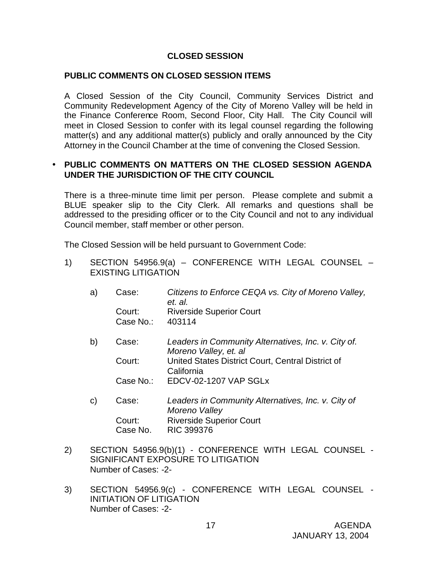## **CLOSED SESSION**

### **PUBLIC COMMENTS ON CLOSED SESSION ITEMS**

A Closed Session of the City Council, Community Services District and Community Redevelopment Agency of the City of Moreno Valley will be held in the Finance Conference Room, Second Floor, City Hall. The City Council will meet in Closed Session to confer with its legal counsel regarding the following matter(s) and any additional matter(s) publicly and orally announced by the City Attorney in the Council Chamber at the time of convening the Closed Session.

## • **PUBLIC COMMENTS ON MATTERS ON THE CLOSED SESSION AGENDA UNDER THE JURISDICTION OF THE CITY COUNCIL**

There is a three-minute time limit per person. Please complete and submit a BLUE speaker slip to the City Clerk. All remarks and questions shall be addressed to the presiding officer or to the City Council and not to any individual Council member, staff member or other person.

The Closed Session will be held pursuant to Government Code:

1) SECTION 54956.9(a) – CONFERENCE WITH LEGAL COUNSEL – EXISTING LITIGATION

| a) | Case:               | Citizens to Enforce CEQA vs. City of Moreno Valley,<br>et. al.               |
|----|---------------------|------------------------------------------------------------------------------|
|    | Court:<br>Case No.: | <b>Riverside Superior Court</b><br>403114                                    |
| b) | Case:               | Leaders in Community Alternatives, Inc. v. City of.<br>Moreno Valley, et. al |
|    | Court:              | United States District Court, Central District of<br>California              |
|    | Case No.:           | EDCV-02-1207 VAP SGLx                                                        |
| C) | Case:               | Leaders in Community Alternatives, Inc. v. City of<br>Moreno Valley          |

- *Moreno Valley* Court: Riverside Superior Court Case No. RIC 399376
- 2) SECTION 54956.9(b)(1) CONFERENCE WITH LEGAL COUNSEL SIGNIFICANT EXPOSURE TO LITIGATION Number of Cases: -2-
- 3) SECTION 54956.9(c) CONFERENCE WITH LEGAL COUNSEL INITIATION OF LITIGATION Number of Cases: -2-